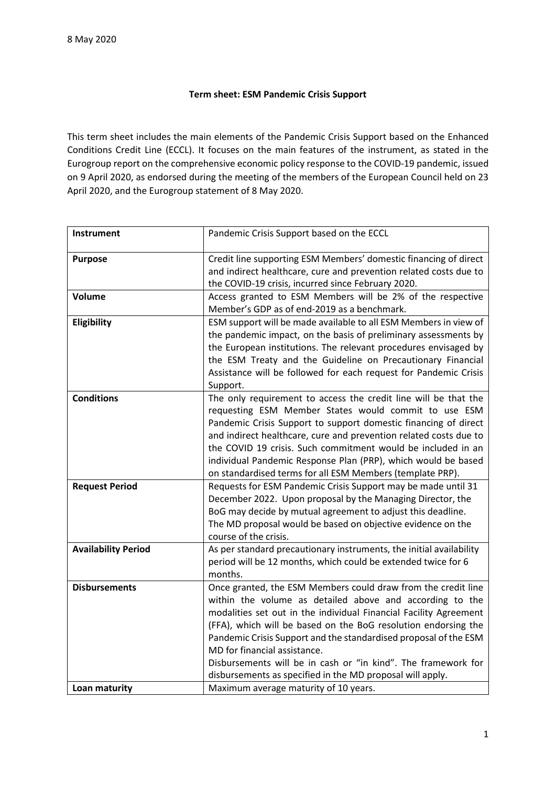## **Term sheet: ESM Pandemic Crisis Support**

This term sheet includes the main elements of the Pandemic Crisis Support based on the Enhanced Conditions Credit Line (ECCL). It focuses on the main features of the instrument, as stated in the Eurogroup report on the comprehensive economic policy response to the COVID-19 pandemic, issued on 9 April 2020, as endorsed during the meeting of the members of the European Council held on 23 April 2020, and the Eurogroup statement of 8 May 2020.

| <b>Instrument</b>          | Pandemic Crisis Support based on the ECCL                                                                                                                                                                                                                                                                                                                                                                                                                                                          |
|----------------------------|----------------------------------------------------------------------------------------------------------------------------------------------------------------------------------------------------------------------------------------------------------------------------------------------------------------------------------------------------------------------------------------------------------------------------------------------------------------------------------------------------|
| <b>Purpose</b>             | Credit line supporting ESM Members' domestic financing of direct<br>and indirect healthcare, cure and prevention related costs due to<br>the COVID-19 crisis, incurred since February 2020.                                                                                                                                                                                                                                                                                                        |
| Volume                     | Access granted to ESM Members will be 2% of the respective<br>Member's GDP as of end-2019 as a benchmark.                                                                                                                                                                                                                                                                                                                                                                                          |
| Eligibility                | ESM support will be made available to all ESM Members in view of<br>the pandemic impact, on the basis of preliminary assessments by<br>the European institutions. The relevant procedures envisaged by<br>the ESM Treaty and the Guideline on Precautionary Financial<br>Assistance will be followed for each request for Pandemic Crisis<br>Support.                                                                                                                                              |
| <b>Conditions</b>          | The only requirement to access the credit line will be that the<br>requesting ESM Member States would commit to use ESM<br>Pandemic Crisis Support to support domestic financing of direct<br>and indirect healthcare, cure and prevention related costs due to<br>the COVID 19 crisis. Such commitment would be included in an<br>individual Pandemic Response Plan (PRP), which would be based<br>on standardised terms for all ESM Members (template PRP).                                      |
| <b>Request Period</b>      | Requests for ESM Pandemic Crisis Support may be made until 31<br>December 2022. Upon proposal by the Managing Director, the<br>BoG may decide by mutual agreement to adjust this deadline.<br>The MD proposal would be based on objective evidence on the<br>course of the crisis.                                                                                                                                                                                                                 |
| <b>Availability Period</b> | As per standard precautionary instruments, the initial availability<br>period will be 12 months, which could be extended twice for 6<br>months.                                                                                                                                                                                                                                                                                                                                                    |
| <b>Disbursements</b>       | Once granted, the ESM Members could draw from the credit line<br>within the volume as detailed above and according to the<br>modalities set out in the individual Financial Facility Agreement<br>(FFA), which will be based on the BoG resolution endorsing the<br>Pandemic Crisis Support and the standardised proposal of the ESM<br>MD for financial assistance.<br>Disbursements will be in cash or "in kind". The framework for<br>disbursements as specified in the MD proposal will apply. |
| Loan maturity              | Maximum average maturity of 10 years.                                                                                                                                                                                                                                                                                                                                                                                                                                                              |